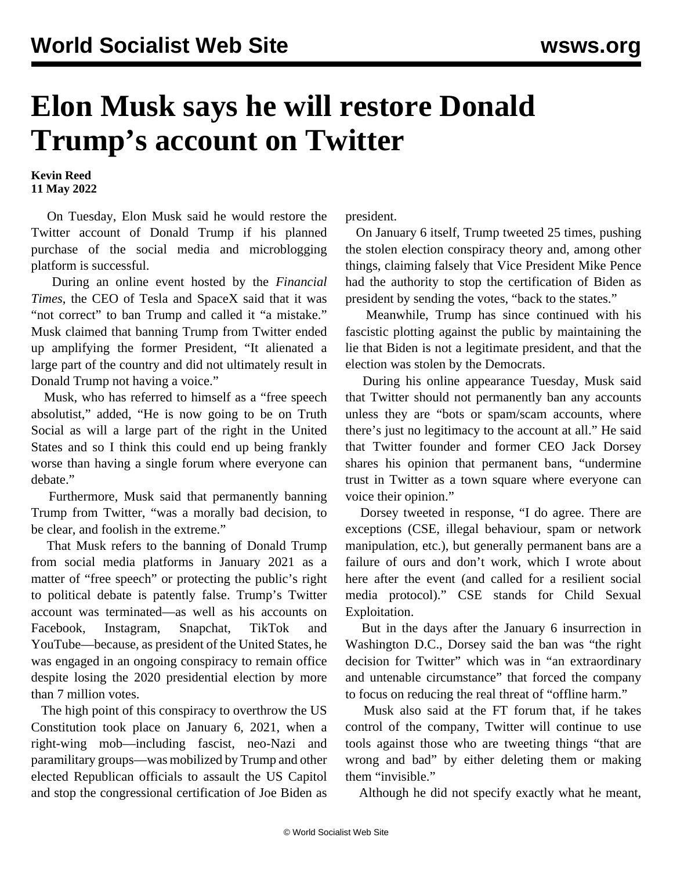## **Elon Musk says he will restore Donald Trump's account on Twitter**

**Kevin Reed 11 May 2022**

 On Tuesday, Elon Musk said he would restore the Twitter account of Donald Trump if his planned purchase of the social media and microblogging platform is successful.

 During an online event hosted by the *Financial Times*, the CEO of Tesla and SpaceX said that it was "not correct" to ban Trump and called it "a mistake." Musk claimed that banning Trump from Twitter ended up amplifying the former President, "It alienated a large part of the country and did not ultimately result in Donald Trump not having a voice."

 Musk, who has referred to himself as a "free speech absolutist," added, "He is now going to be on Truth Social as will a large part of the right in the United States and so I think this could end up being frankly worse than having a single forum where everyone can debate."

 Furthermore, Musk said that permanently banning Trump from Twitter, "was a morally bad decision, to be clear, and foolish in the extreme."

 That Musk refers to the banning of Donald Trump from social media platforms in January 2021 as a matter of "free speech" or protecting the public's right to political debate is patently false. Trump's Twitter account was terminated—as well as his accounts on Facebook, Instagram, Snapchat, TikTok and YouTube—because, as president of the United States, he was engaged in an ongoing conspiracy to remain office despite losing the 2020 presidential election by more than 7 million votes.

 The high point of this conspiracy to overthrow the US Constitution took place on January 6, 2021, when a right-wing mob—including fascist, neo-Nazi and paramilitary groups—was mobilized by Trump and other elected Republican officials to assault the US Capitol and stop the congressional certification of Joe Biden as

president.

 On January 6 itself, Trump tweeted 25 times, pushing the stolen election conspiracy theory and, among other things, claiming falsely that Vice President Mike Pence had the authority to stop the certification of Biden as president by sending the votes, "back to the states."

 Meanwhile, Trump has since continued with his fascistic plotting against the public by maintaining the lie that Biden is not a legitimate president, and that the election was stolen by the Democrats.

 During his online appearance Tuesday, Musk said that Twitter should not permanently ban any accounts unless they are "bots or spam/scam accounts, where there's just no legitimacy to the account at all." He said that Twitter founder and former CEO Jack Dorsey shares his opinion that permanent bans, "undermine trust in Twitter as a town square where everyone can voice their opinion."

 Dorsey tweeted in response, "I do agree. There are exceptions (CSE, illegal behaviour, spam or network manipulation, etc.), but generally permanent bans are a failure of ours and don't work, which I wrote about here after the event (and called for a resilient social media protocol)." CSE stands for Child Sexual Exploitation.

 But in the days after the January 6 insurrection in Washington D.C., Dorsey said the ban was "the right decision for Twitter" which was in "an extraordinary and untenable circumstance" that forced the company to focus on reducing the real threat of "offline harm."

 Musk also said at the FT forum that, if he takes control of the company, Twitter will continue to use tools against those who are tweeting things "that are wrong and bad" by either deleting them or making them "invisible."

Although he did not specify exactly what he meant,